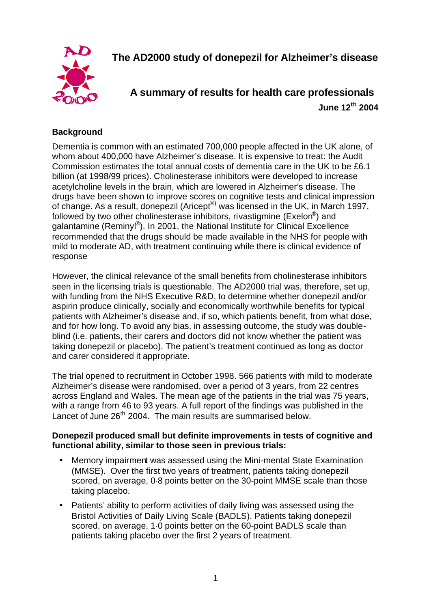**The AD2000 study of donepezil for Alzheimer's disease**

**A summary of results for health care professionals June 12th 2004**

# **Background**

Dementia is common with an estimated 700,000 people affected in the UK alone, of whom about 400,000 have Alzheimer's disease. It is expensive to treat: the Audit Commission estimates the total annual costs of dementia care in the UK to be £6.1 billion (at 1998/99 prices). Cholinesterase inhibitors were developed to increase acetylcholine levels in the brain, which are lowered in Alzheimer's disease. The drugs have been shown to improve scores on cognitive tests and clinical impression of change. As a result, donepezil (Aricept<sup>®)</sup> was licensed in the UK, in March 1997, followed by two other cholinesterase inhibitors, rivastigmine (Exelon®) and galantamine (Reminyl®). In 2001, the National Institute for Clinical Excellence recommended that the drugs should be made available in the NHS for people with mild to moderate AD, with treatment continuing while there is clinical evidence of response

However, the clinical relevance of the small benefits from cholinesterase inhibitors seen in the licensing trials is questionable. The AD2000 trial was, therefore, set up, with funding from the NHS Executive R&D, to determine whether donepezil and/or aspirin produce clinically, socially and economically worthwhile benefits for typical patients with Alzheimer's disease and, if so, which patients benefit, from what dose, and for how long. To avoid any bias, in assessing outcome, the study was doubleblind (i.e. patients, their carers and doctors did not know whether the patient was taking donepezil or placebo). The patient's treatment continued as long as doctor and carer considered it appropriate.

The trial opened to recruitment in October 1998. 566 patients with mild to moderate Alzheimer's disease were randomised, over a period of 3 years, from 22 centres across England and Wales. The mean age of the patients in the trial was 75 years, with a range from 46 to 93 years. A full report of the findings was published in the Lancet of June 26<sup>th</sup> 2004. The main results are summarised below.

## **Donepezil produced small but definite improvements in tests of cognitive and functional ability, similar to those seen in previous trials:**

- Memory impairment was assessed using the Mini-mental State Examination (MMSE). Over the first two years of treatment, patients taking donepezil scored, on average, 0·8 points better on the 30-point MMSE scale than those taking placebo.
- Patients' ability to perform activities of daily living was assessed using the Bristol Activities of Daily Living Scale (BADLS). Patients taking donepezil scored, on average, 1·0 points better on the 60-point BADLS scale than patients taking placebo over the first 2 years of treatment.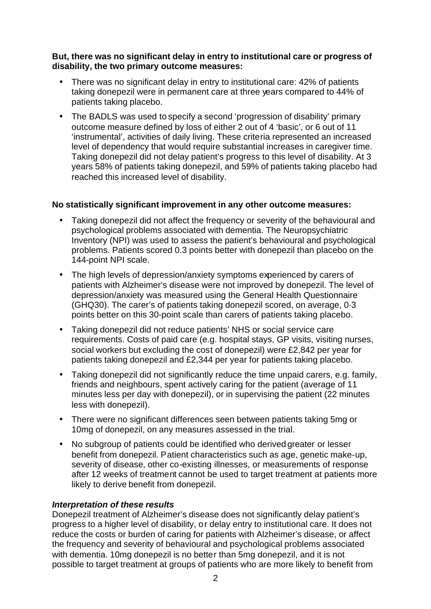#### **But, there was no significant delay in entry to institutional care or progress of disability, the two primary outcome measures:**

- There was no significant delay in entry to institutional care: 42% of patients taking donepezil were in permanent care at three years compared to 44% of patients taking placebo.
- The BADLS was used to specify a second 'progression of disability' primary outcome measure defined by loss of either 2 out of 4 'basic', or 6 out of 11 'instrumental', activities of daily living. These criteria represented an increased level of dependency that would require substantial increases in caregiver time. Taking donepezil did not delay patient's progress to this level of disability. At 3 years 58% of patients taking donepezil, and 59% of patients taking placebo had reached this increased level of disability.

## **No statistically significant improvement in any other outcome measures:**

- Taking donepezil did not affect the frequency or severity of the behavioural and psychological problems associated with dementia. The Neuropsychiatric Inventory (NPI) was used to assess the patient's behavioural and psychological problems. Patients scored 0.3 points better with donepezil than placebo on the 144-point NPI scale.
- The high levels of depression/anxiety symptoms experienced by carers of patients with Alzheimer's disease were not improved by donepezil. The level of depression/anxiety was measured using the General Health Questionnaire (GHQ30). The carer's of patients taking donepezil scored, on average, 0·3 points better on this 30-point scale than carers of patients taking placebo.
- Taking donepezil did not reduce patients' NHS or social service care requirements. Costs of paid care (e.g. hospital stays, GP visits, visiting nurses, social workers but excluding the cost of donepezil) were £2,842 per year for patients taking donepezil and £2,344 per year for patients taking placebo.
- Taking donepezil did not significantly reduce the time unpaid carers, e.g. family, friends and neighbours, spent actively caring for the patient (average of 11 minutes less per day with donepezil), or in supervising the patient (22 minutes less with donepezil).
- There were no significant differences seen between patients taking 5mg or 10mg of donepezil, on any measures assessed in the trial.
- No subgroup of patients could be identified who derived greater or lesser benefit from donepezil. Patient characteristics such as age, genetic make-up, severity of disease, other co-existing illnesses, or measurements of response after 12 weeks of treatment cannot be used to target treatment at patients more likely to derive benefit from donepezil.

## *Interpretation of these results*

Donepezil treatment of Alzheimer's disease does not significantly delay patient's progress to a higher level of disability, or delay entry to institutional care. It does not reduce the costs or burden of caring for patients with Alzheimer's disease, or affect the frequency and severity of behavioural and psychological problems associated with dementia. 10mg donepezil is no better than 5mg donepezil, and it is not possible to target treatment at groups of patients who are more likely to benefit from